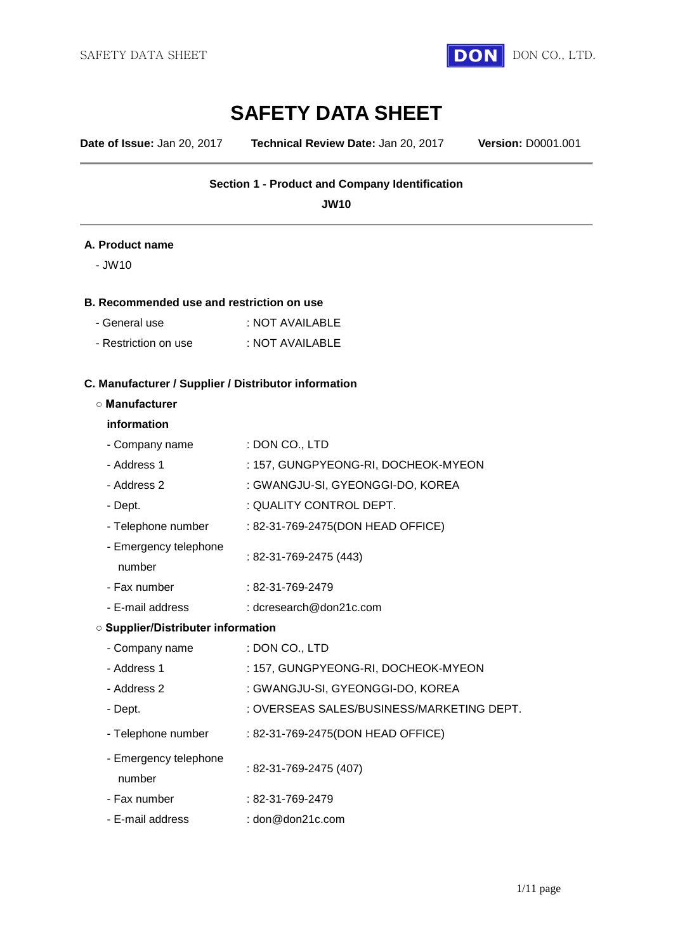

**Date of Issue:** Jan 20, 2017 **Technical Review Date:** Jan 20, 2017 **Version:** D0001.001

## **Section 1 - Product and Company Identification**

**JW10**

#### **A. Product name**

- JW10

#### **B. Recommended use and restriction on use**

| - General use        | : NOT AVAILABLE |
|----------------------|-----------------|
| - Restriction on use | : NOT AVAILABLE |

# **C. Manufacturer / Supplier / Distributor information**

#### **○ Manufacturer**

#### **information**

| - Company name                            | : DON CO., LTD                            |
|-------------------------------------------|-------------------------------------------|
| - Address 1                               | : 157, GUNGPYEONG-RI, DOCHEOK-MYEON       |
| - Address 2                               | : GWANGJU-SI, GYEONGGI-DO, KOREA          |
| - Dept.                                   | : QUALITY CONTROL DEPT.                   |
| - Telephone number                        | : 82-31-769-2475(DON HEAD OFFICE)         |
| - Emergency telephone<br>number           | : 82-31-769-2475 (443)                    |
| - Fax number                              | $: 82 - 31 - 769 - 2479$                  |
| - E-mail address                          | : dcresearch@don21c.com                   |
| <b>O Supplier/Distributer information</b> |                                           |
| - Company name                            | : DON CO., LTD                            |
| - Address 1                               | : 157, GUNGPYEONG-RI, DOCHEOK-MYEON       |
| - Address 2                               | : GWANGJU-SI, GYEONGGI-DO, KOREA          |
| - Dept.                                   | : OVERSEAS SALES/BUSINESS/MARKETING DEPT. |
| - Telephone number                        | : 82-31-769-2475(DON HEAD OFFICE)         |
| - Emergency telephone<br>number           | : 82-31-769-2475 (407)                    |
| - Fax number                              | : 82-31-769-2479                          |
| - E-mail address                          | $:$ don@don21c.com                        |
|                                           |                                           |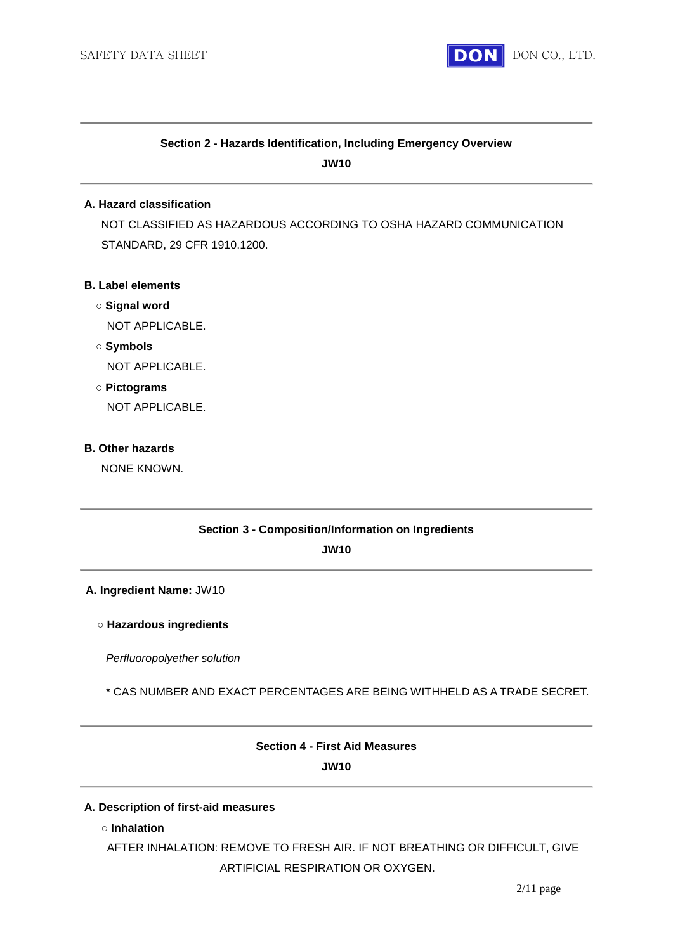

# **Section 2 - Hazards Identification, Including Emergency Overview JW10**

#### **A. Hazard classification**

NOT CLASSIFIED AS HAZARDOUS ACCORDING TO OSHA HAZARD COMMUNICATION STANDARD, 29 CFR 1910.1200.

#### **B. Label elements**

**○ Signal word**

NOT APPLICABLE.

**○ Symbols**

NOT APPLICABLE.

**○ Pictograms**

NOT APPLICABLE.

#### **B. Other hazards**

NONE KNOWN.

#### **Section 3 - Composition/Information on Ingredients**

**JW10**

#### **A. Ingredient Name:** JW10

#### **○ Hazardous ingredients**

*Perfluoropolyether solution*

\* CAS NUMBER AND EXACT PERCENTAGES ARE BEING WITHHELD AS A TRADE SECRET.

# **Section 4 - First Aid Measures JW10**

#### **A. Description of first-aid measures**

**○ Inhalation**

AFTER INHALATION: REMOVE TO FRESH AIR. IF NOT BREATHING OR DIFFICULT, GIVE ARTIFICIAL RESPIRATION OR OXYGEN.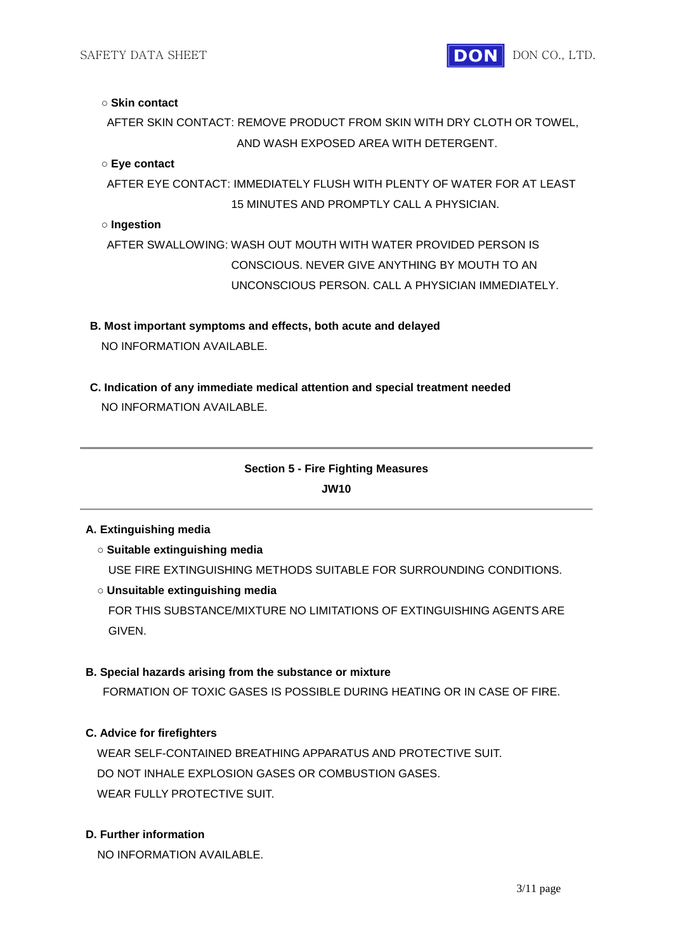#### **○ Skin contact**

AFTER SKIN CONTACT: REMOVE PRODUCT FROM SKIN WITH DRY CLOTH OR TOWEL, AND WASH EXPOSED AREA WITH DETERGENT.

#### **○ Eye contact**

AFTER EYE CONTACT: IMMEDIATELY FLUSH WITH PLENTY OF WATER FOR AT LEAST 15 MINUTES AND PROMPTLY CALL A PHYSICIAN.

#### **○ Ingestion**

AFTER SWALLOWING: WASH OUT MOUTH WITH WATER PROVIDED PERSON IS CONSCIOUS. NEVER GIVE ANYTHING BY MOUTH TO AN UNCONSCIOUS PERSON. CALL A PHYSICIAN IMMEDIATELY.

### **B. Most important symptoms and effects, both acute and delayed**

NO INFORMATION AVAILABLE.

**C. Indication of any immediate medical attention and special treatment needed** NO INFORMATION AVAILABLE.

# **Section 5 - Fire Fighting Measures JW10**

#### **A. Extinguishing media**

- **Suitable extinguishing media** USE FIRE EXTINGUISHING METHODS SUITABLE FOR SURROUNDING CONDITIONS.
- **Unsuitable extinguishing media**

FOR THIS SUBSTANCE/MIXTURE NO LIMITATIONS OF EXTINGUISHING AGENTS ARE GIVEN.

# **B. Special hazards arising from the substance or mixture**

FORMATION OF TOXIC GASES IS POSSIBLE DURING HEATING OR IN CASE OF FIRE.

# **C. Advice for firefighters**

WEAR SELF-CONTAINED BREATHING APPARATUS AND PROTECTIVE SUIT. DO NOT INHALE EXPLOSION GASES OR COMBUSTION GASES. WEAR FULLY PROTECTIVE SUIT.

# **D. Further information**

NO INFORMATION AVAILABLE.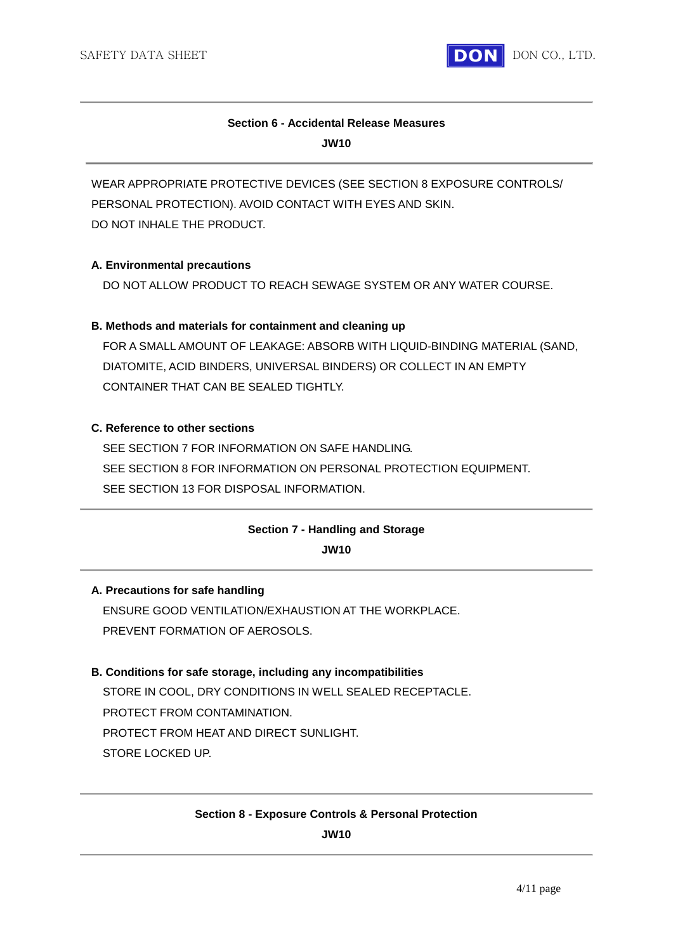

# **Section 6 - Accidental Release Measures JW10**

WEAR APPROPRIATE PROTECTIVE DEVICES (SEE SECTION 8 EXPOSURE CONTROLS/ PERSONAL PROTECTION). AVOID CONTACT WITH EYES AND SKIN. DO NOT INHALE THE PRODUCT.

### **A. Environmental precautions**

DO NOT ALLOW PRODUCT TO REACH SEWAGE SYSTEM OR ANY WATER COURSE.

# **B. Methods and materials for containment and cleaning up**

FOR A SMALL AMOUNT OF LEAKAGE: ABSORB WITH LIQUID-BINDING MATERIAL (SAND, DIATOMITE, ACID BINDERS, UNIVERSAL BINDERS) OR COLLECT IN AN EMPTY CONTAINER THAT CAN BE SEALED TIGHTLY.

### **C. Reference to other sections**

SEE SECTION 7 FOR INFORMATION ON SAFE HANDLING. SEE SECTION 8 FOR INFORMATION ON PERSONAL PROTECTION EQUIPMENT. SEE SECTION 13 FOR DISPOSAL INFORMATION.

# **Section 7 - Handling and Storage**

**JW10**

# **A. Precautions for safe handling**

ENSURE GOOD VENTILATION/EXHAUSTION AT THE WORKPLACE. PREVENT FORMATION OF AEROSOLS.

# **B. Conditions for safe storage, including any incompatibilities**

STORE IN COOL, DRY CONDITIONS IN WELL SEALED RECEPTACLE. PROTECT FROM CONTAMINATION. PROTECT FROM HEAT AND DIRECT SUNLIGHT. STORE LOCKED UP.

# **Section 8 - Exposure Controls & Personal Protection**

**JW10**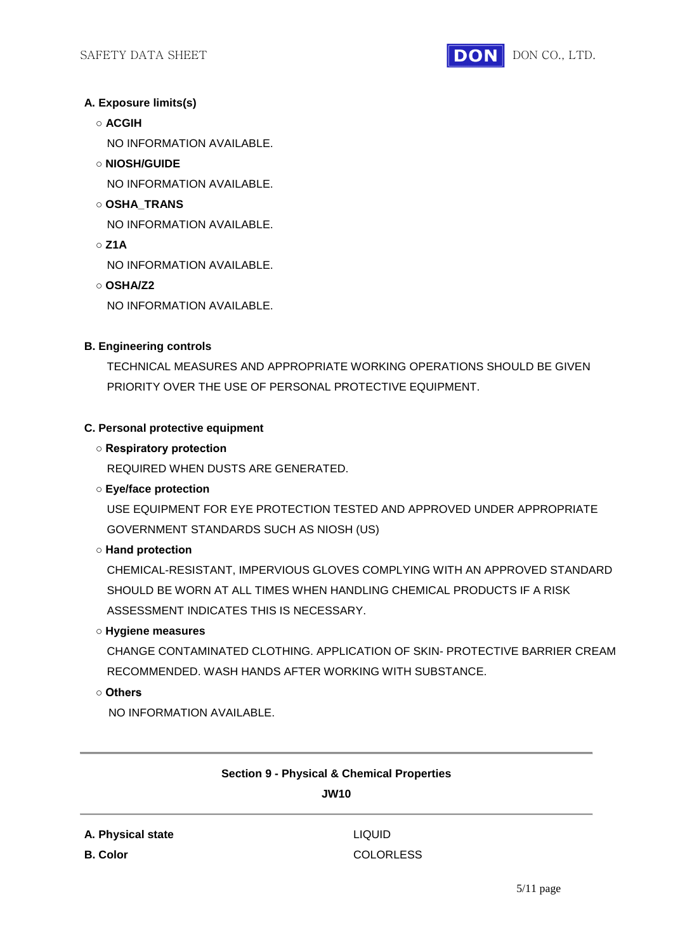

# **A. Exposure limits(s)**

**○ ACGIH**

NO INFORMATION AVAILABLE.

- **NIOSH/GUIDE**
	- NO INFORMATION AVAILABLE.
- **OSHA\_TRANS**

NO INFORMATION AVAILABLE.

**○ Z1A**

NO INFORMATION AVAILABLE.

**○ OSHA/Z2**

NO INFORMATION AVAILABLE.

# **B. Engineering controls**

TECHNICAL MEASURES AND APPROPRIATE WORKING OPERATIONS SHOULD BE GIVEN PRIORITY OVER THE USE OF PERSONAL PROTECTIVE EQUIPMENT.

### **C. Personal protective equipment**

### **○ Respiratory protection**

REQUIRED WHEN DUSTS ARE GENERATED.

# **○ Eye/face protection**

USE EQUIPMENT FOR EYE PROTECTION TESTED AND APPROVED UNDER APPROPRIATE GOVERNMENT STANDARDS SUCH AS NIOSH (US)

### **○ Hand protection**

CHEMICAL-RESISTANT, IMPERVIOUS GLOVES COMPLYING WITH AN APPROVED STANDARD SHOULD BE WORN AT ALL TIMES WHEN HANDLING CHEMICAL PRODUCTS IF A RISK ASSESSMENT INDICATES THIS IS NECESSARY.

### **○ Hygiene measures**

CHANGE CONTAMINATED CLOTHING. APPLICATION OF SKIN- PROTECTIVE BARRIER CREAM RECOMMENDED. WASH HANDS AFTER WORKING WITH SUBSTANCE.

**○ Others**

NO INFORMATION AVAILABLE.

# **Section 9 - Physical & Chemical Properties**

**JW10**

**A. Physical state** LIQUID

**B. Color** COLORLESS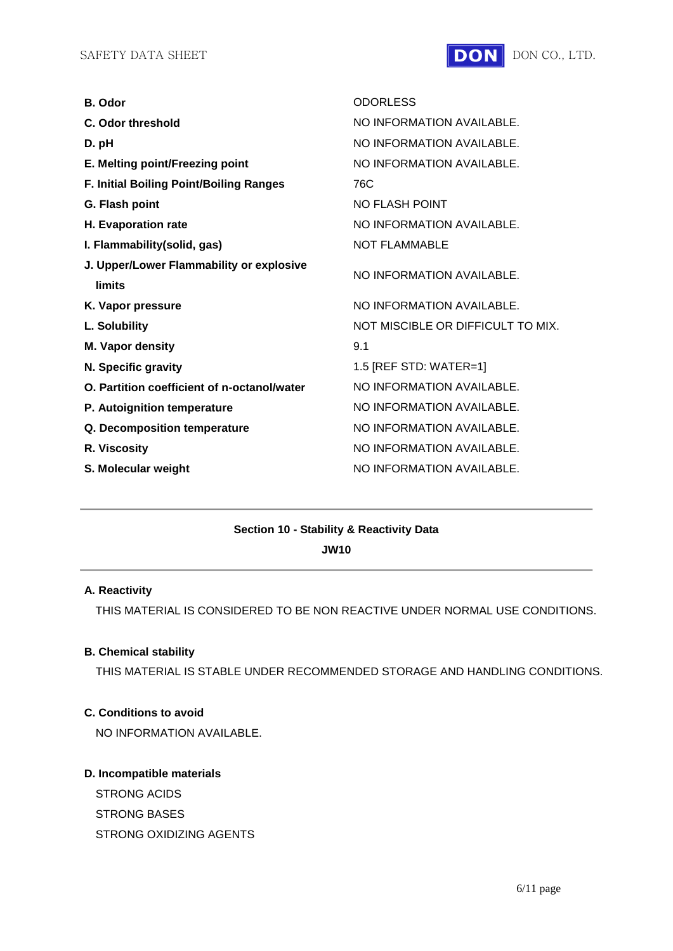

| B. Odor                                                   | <b>ODORLESS</b>                   |
|-----------------------------------------------------------|-----------------------------------|
| C. Odor threshold                                         | NO INFORMATION AVAILABLE.         |
| D. pH                                                     | NO INFORMATION AVAILABLE.         |
| E. Melting point/Freezing point                           | NO INFORMATION AVAILABLE.         |
| F. Initial Boiling Point/Boiling Ranges                   | 76C                               |
| G. Flash point                                            | <b>NO FLASH POINT</b>             |
| H. Evaporation rate                                       | NO INFORMATION AVAILABLE.         |
| I. Flammability(solid, gas)                               | <b>NOT FLAMMABLE</b>              |
| J. Upper/Lower Flammability or explosive<br><b>limits</b> | NO INFORMATION AVAILABLE.         |
| K. Vapor pressure                                         | NO INFORMATION AVAILABLE.         |
| L. Solubility                                             | NOT MISCIBLE OR DIFFICULT TO MIX. |
| M. Vapor density                                          | 9.1                               |
| N. Specific gravity                                       | 1.5 [REF STD: WATER=1]            |
| O. Partition coefficient of n-octanol/water               | NO INFORMATION AVAILABLE.         |
| P. Autoignition temperature                               | NO INFORMATION AVAILABLE.         |
| Q. Decomposition temperature                              | NO INFORMATION AVAILABLE.         |
| R. Viscosity                                              | NO INFORMATION AVAILABLE.         |
| S. Molecular weight                                       | NO INFORMATION AVAILABLE.         |

# **Section 10 - Stability & Reactivity Data**

**JW10**

#### **A. Reactivity**

THIS MATERIAL IS CONSIDERED TO BE NON REACTIVE UNDER NORMAL USE CONDITIONS.

#### **B. Chemical stability**

THIS MATERIAL IS STABLE UNDER RECOMMENDED STORAGE AND HANDLING CONDITIONS.

# **C. Conditions to avoid**

NO INFORMATION AVAILABLE.

## **D. Incompatible materials**

STRONG ACIDS STRONG BASES STRONG OXIDIZING AGENTS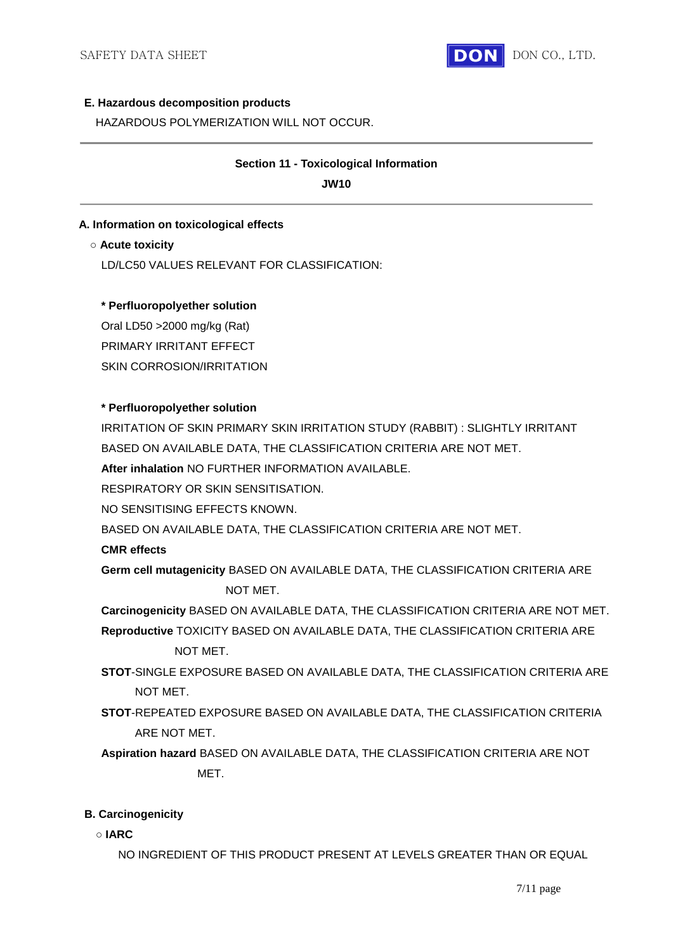

#### **E. Hazardous decomposition products**

HAZARDOUS POLYMERIZATION WILL NOT OCCUR.

# **Section 11 - Toxicological Information**

**JW10**

# **A. Information on toxicological effects**

#### **○ Acute toxicity**

LD/LC50 VALUES RELEVANT FOR CLASSIFICATION:

### **\* Perfluoropolyether solution**

Oral LD50 >2000 mg/kg (Rat) PRIMARY IRRITANT EFFECT SKIN CORROSION/IRRITATION

### **\* Perfluoropolyether solution**

IRRITATION OF SKIN PRIMARY SKIN IRRITATION STUDY (RABBIT) : SLIGHTLY IRRITANT BASED ON AVAILABLE DATA, THE CLASSIFICATION CRITERIA ARE NOT MET.

**After inhalation** NO FURTHER INFORMATION AVAILABLE.

RESPIRATORY OR SKIN SENSITISATION.

NO SENSITISING EFFECTS KNOWN.

BASED ON AVAILABLE DATA, THE CLASSIFICATION CRITERIA ARE NOT MET.

# **CMR effects**

**Germ cell mutagenicity** BASED ON AVAILABLE DATA, THE CLASSIFICATION CRITERIA ARE NOT MET.

**Carcinogenicity** BASED ON AVAILABLE DATA, THE CLASSIFICATION CRITERIA ARE NOT MET. **Reproductive** TOXICITY BASED ON AVAILABLE DATA, THE CLASSIFICATION CRITERIA ARE

NOT MET.

- **STOT**-SINGLE EXPOSURE BASED ON AVAILABLE DATA, THE CLASSIFICATION CRITERIA ARE NOT MET.
- **STOT**-REPEATED EXPOSURE BASED ON AVAILABLE DATA, THE CLASSIFICATION CRITERIA ARE NOT MET.

**Aspiration hazard** BASED ON AVAILABLE DATA, THE CLASSIFICATION CRITERIA ARE NOT MET.

# **B. Carcinogenicity**

**○ IARC**

NO INGREDIENT OF THIS PRODUCT PRESENT AT LEVELS GREATER THAN OR EQUAL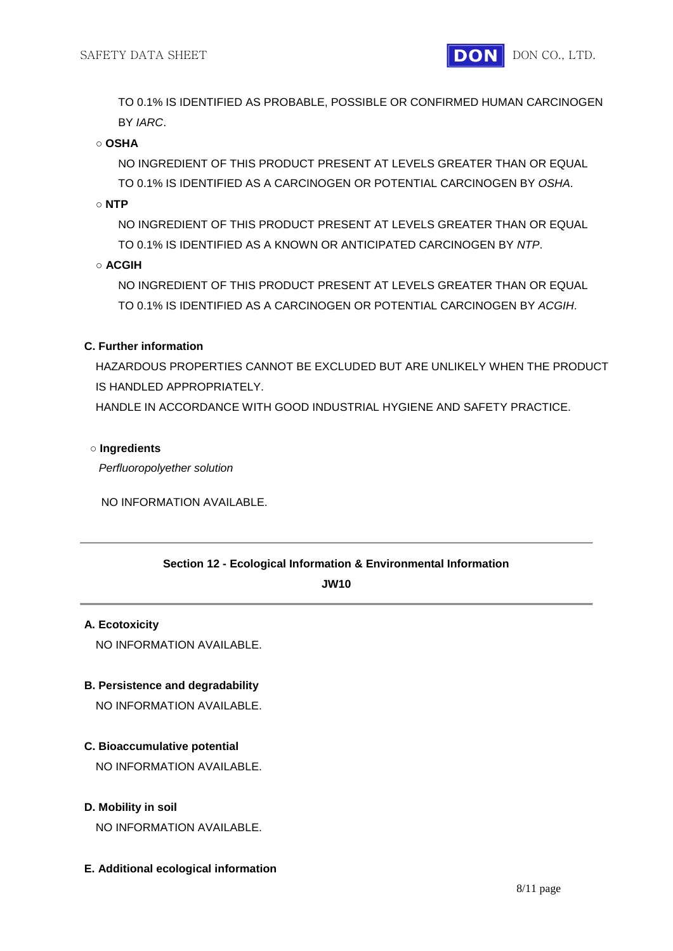TO 0.1% IS IDENTIFIED AS PROBABLE, POSSIBLE OR CONFIRMED HUMAN CARCINOGEN BY *IARC*.

#### **○ OSHA**

NO INGREDIENT OF THIS PRODUCT PRESENT AT LEVELS GREATER THAN OR EQUAL TO 0.1% IS IDENTIFIED AS A CARCINOGEN OR POTENTIAL CARCINOGEN BY *OSHA*.

**○ NTP**

NO INGREDIENT OF THIS PRODUCT PRESENT AT LEVELS GREATER THAN OR EQUAL TO 0.1% IS IDENTIFIED AS A KNOWN OR ANTICIPATED CARCINOGEN BY *NTP*.

**○ ACGIH**

NO INGREDIENT OF THIS PRODUCT PRESENT AT LEVELS GREATER THAN OR EQUAL TO 0.1% IS IDENTIFIED AS A CARCINOGEN OR POTENTIAL CARCINOGEN BY *ACGIH*.

### **C. Further information**

HAZARDOUS PROPERTIES CANNOT BE EXCLUDED BUT ARE UNLIKELY WHEN THE PRODUCT IS HANDLED APPROPRIATELY.

HANDLE IN ACCORDANCE WITH GOOD INDUSTRIAL HYGIENE AND SAFETY PRACTICE.

#### **○ Ingredients**

*Perfluoropolyether solution*

NO INFORMATION AVAILABLE.

#### **Section 12 - Ecological Information & Environmental Information**

**JW10**

#### **A. Ecotoxicity**

NO INFORMATION AVAILABLE.

# **B. Persistence and degradability**

NO INFORMATION AVAILABLE.

#### **C. Bioaccumulative potential**

NO INFORMATION AVAILABLE.

#### **D. Mobility in soil**

NO INFORMATION AVAILABLE.

#### **E. Additional ecological information**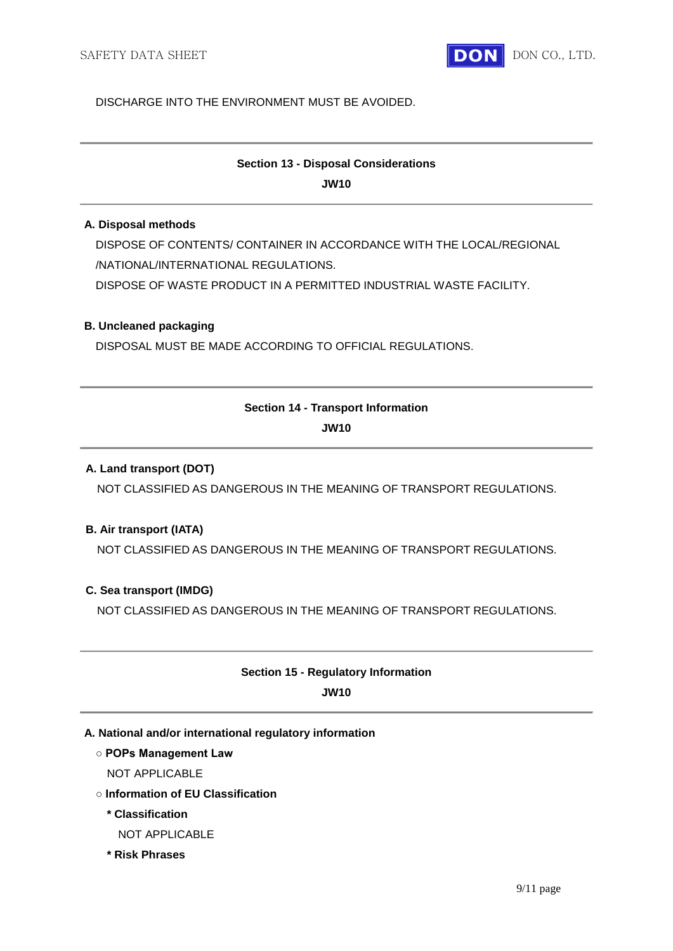

### DISCHARGE INTO THE ENVIRONMENT MUST BE AVOIDED.

# **Section 13 - Disposal Considerations**

**JW10**

# **A. Disposal methods**

DISPOSE OF CONTENTS/ CONTAINER IN ACCORDANCE WITH THE LOCAL/REGIONAL /NATIONAL/INTERNATIONAL REGULATIONS. DISPOSE OF WASTE PRODUCT IN A PERMITTED INDUSTRIAL WASTE FACILITY.

# **B. Uncleaned packaging**

DISPOSAL MUST BE MADE ACCORDING TO OFFICIAL REGULATIONS.

# **Section 14 - Transport Information JW10**

# **A. Land transport (DOT)**

NOT CLASSIFIED AS DANGEROUS IN THE MEANING OF TRANSPORT REGULATIONS.

# **B. Air transport (IATA)**

NOT CLASSIFIED AS DANGEROUS IN THE MEANING OF TRANSPORT REGULATIONS.

# **C. Sea transport (IMDG)**

NOT CLASSIFIED AS DANGEROUS IN THE MEANING OF TRANSPORT REGULATIONS.

# **Section 15 - Regulatory Information JW10**

# **A. National and/or international regulatory information**

#### **○ POPs Management Law**

- NOT APPLICABLE
- **Information of EU Classification**

# **\* Classification**

- NOT APPLICABLE
- **\* Risk Phrases**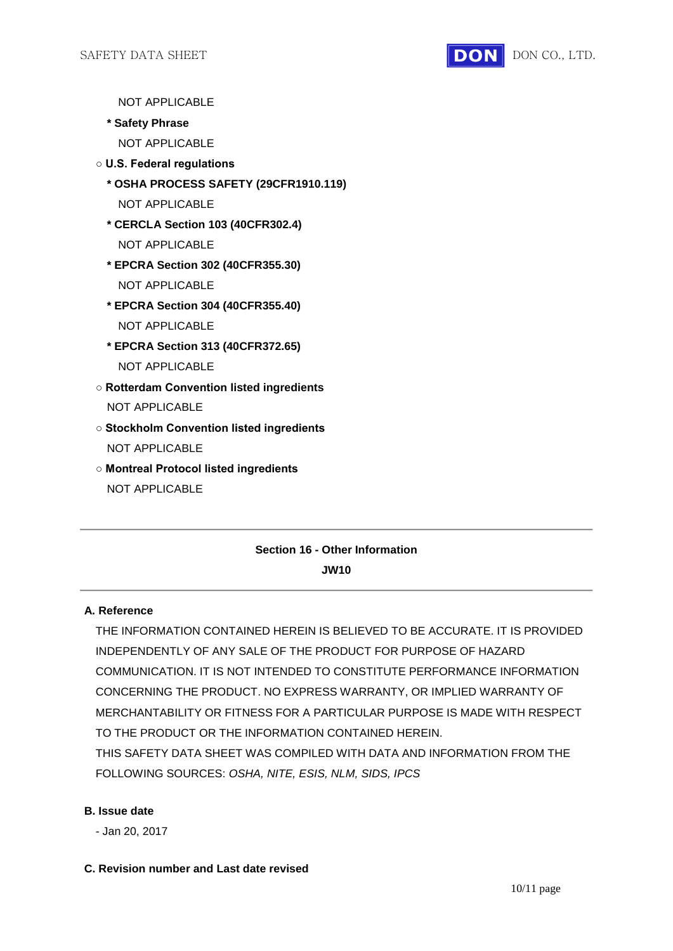

NOT APPLICABLE

- **\* Safety Phrase**
	- NOT APPLICABLE
- **U.S. Federal regulations**
	- **\* OSHA PROCESS SAFETY (29CFR1910.119)**
		- NOT APPLICABLE
	- **\* CERCLA Section 103 (40CFR302.4)** NOT APPLICABLE
	- **\* EPCRA Section 302 (40CFR355.30)** NOT APPLICABLE
	- **\* EPCRA Section 304 (40CFR355.40)** NOT APPLICABLE
	- **\* EPCRA Section 313 (40CFR372.65)** NOT APPLICABLE
- **Rotterdam Convention listed ingredients** NOT APPLICABLE
- **Stockholm Convention listed ingredients** NOT APPLICABLE
- **Montreal Protocol listed ingredients** NOT APPLICABLE

# **Section 16 - Other Information JW10**

# **A. Reference**

THE INFORMATION CONTAINED HEREIN IS BELIEVED TO BE ACCURATE. IT IS PROVIDED INDEPENDENTLY OF ANY SALE OF THE PRODUCT FOR PURPOSE OF HAZARD COMMUNICATION. IT IS NOT INTENDED TO CONSTITUTE PERFORMANCE INFORMATION CONCERNING THE PRODUCT. NO EXPRESS WARRANTY, OR IMPLIED WARRANTY OF MERCHANTABILITY OR FITNESS FOR A PARTICULAR PURPOSE IS MADE WITH RESPECT TO THE PRODUCT OR THE INFORMATION CONTAINED HEREIN.

THIS SAFETY DATA SHEET WAS COMPILED WITH DATA AND INFORMATION FROM THE FOLLOWING SOURCES: *OSHA, NITE, ESIS, NLM, SIDS, IPCS*

#### **B. Issue date**

- Jan 20, 2017

#### **C. Revision number and Last date revised**